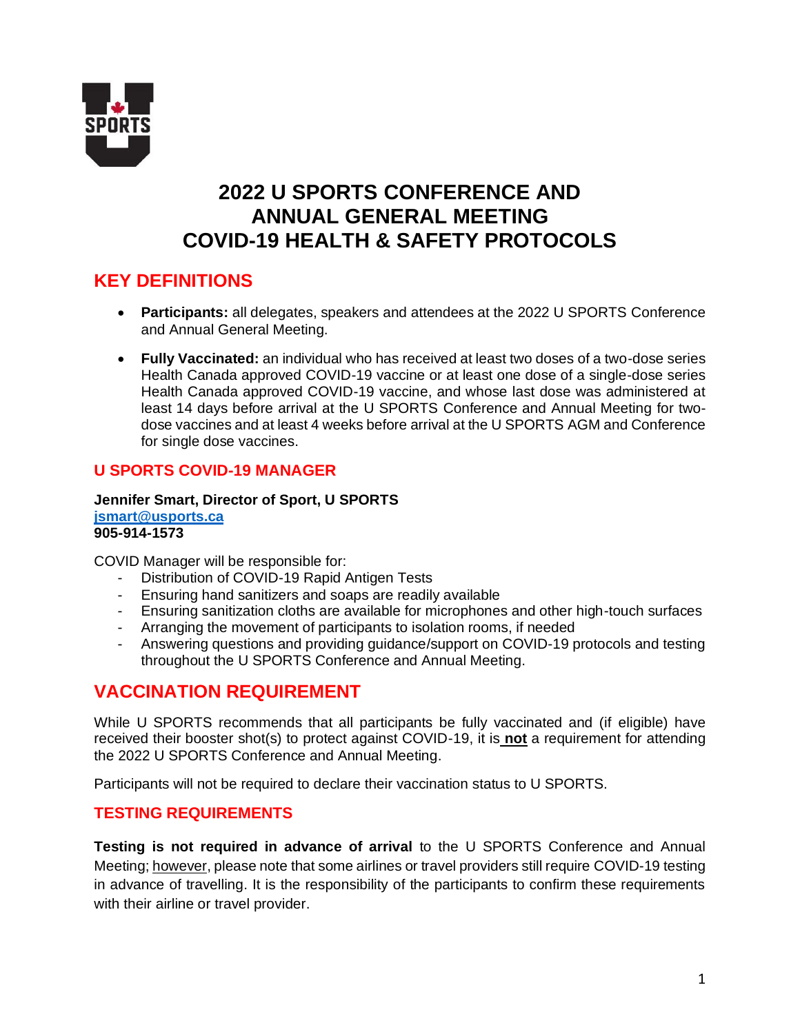

# **2022 U SPORTS CONFERENCE AND ANNUAL GENERAL MEETING COVID-19 HEALTH & SAFETY PROTOCOLS**

## **KEY DEFINITIONS**

- **Participants:** all delegates, speakers and attendees at the 2022 U SPORTS Conference and Annual General Meeting.
- **Fully Vaccinated:** an individual who has received at least two doses of a two-dose series Health Canada approved COVID-19 vaccine or at least one dose of a single-dose series Health Canada approved COVID-19 vaccine, and whose last dose was administered at least 14 days before arrival at the U SPORTS Conference and Annual Meeting for twodose vaccines and at least 4 weeks before arrival at the U SPORTS AGM and Conference for single dose vaccines.

## **U SPORTS COVID-19 MANAGER**

**Jennifer Smart, Director of Sport, U SPORTS [jsmart@usports.ca](mailto:jsmart@usports.ca) 905-914-1573**

COVID Manager will be responsible for:

- Distribution of COVID-19 Rapid Antigen Tests
- Ensuring hand sanitizers and soaps are readily available
- Ensuring sanitization cloths are available for microphones and other high-touch surfaces
- Arranging the movement of participants to isolation rooms, if needed
- Answering questions and providing guidance/support on COVID-19 protocols and testing throughout the U SPORTS Conference and Annual Meeting.

## **VACCINATION REQUIREMENT**

While U SPORTS recommends that all participants be fully vaccinated and (if eligible) have received their booster shot(s) to protect against COVID-19, it is **not** a requirement for attending the 2022 U SPORTS Conference and Annual Meeting.

Participants will not be required to declare their vaccination status to U SPORTS.

## **TESTING REQUIREMENTS**

**Testing is not required in advance of arrival** to the U SPORTS Conference and Annual Meeting; however, please note that some airlines or travel providers still require COVID-19 testing in advance of travelling. It is the responsibility of the participants to confirm these requirements with their airline or travel provider.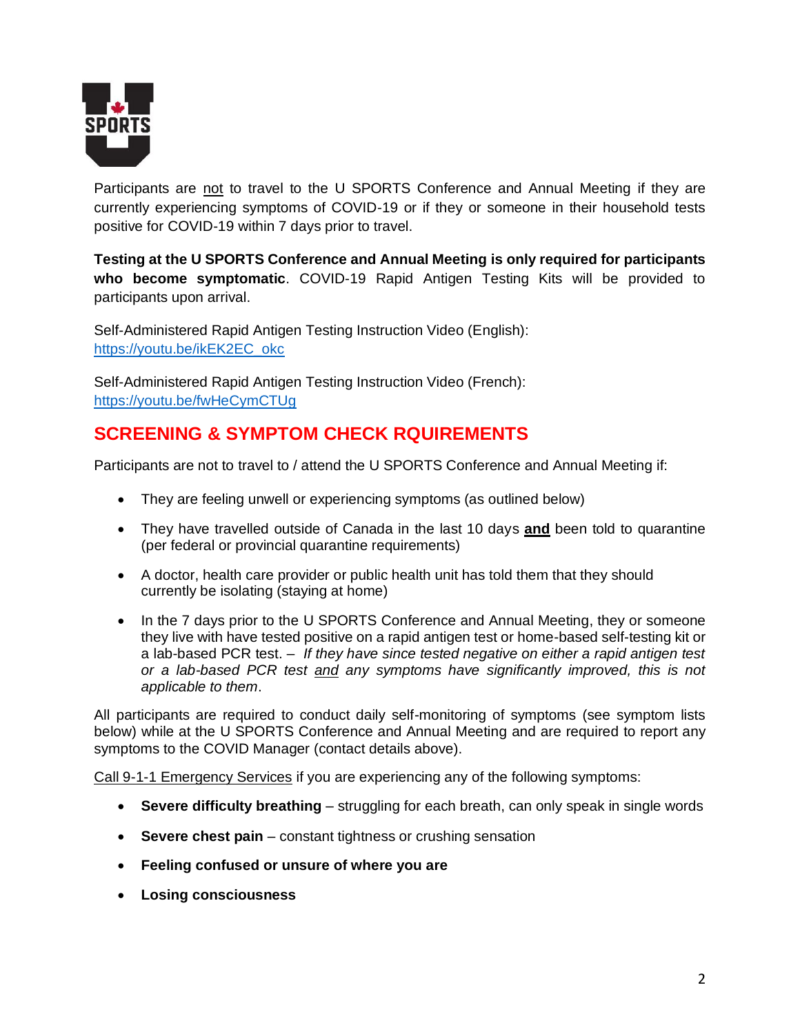

Participants are not to travel to the U SPORTS Conference and Annual Meeting if they are currently experiencing symptoms of COVID-19 or if they or someone in their household tests positive for COVID-19 within 7 days prior to travel.

**Testing at the U SPORTS Conference and Annual Meeting is only required for participants who become symptomatic**. COVID-19 Rapid Antigen Testing Kits will be provided to participants upon arrival.

Self-Administered Rapid Antigen Testing Instruction Video (English): [https://youtu.be/ikEK2EC\\_okc](https://youtu.be/ikEK2EC_okc)

Self-Administered Rapid Antigen Testing Instruction Video (French): <https://youtu.be/fwHeCymCTUg>

# **SCREENING & SYMPTOM CHECK RQUIREMENTS**

Participants are not to travel to / attend the U SPORTS Conference and Annual Meeting if:

- They are feeling unwell or experiencing symptoms (as outlined below)
- They have travelled outside of Canada in the last 10 days **and** been told to quarantine (per federal or provincial quarantine requirements)
- A doctor, health care provider or public health unit has told them that they should currently be isolating (staying at home)
- In the 7 days prior to the U SPORTS Conference and Annual Meeting, they or someone they live with have tested positive on a rapid antigen test or home-based self-testing kit or a lab-based PCR test. – *If they have since tested negative on either a rapid antigen test or a lab-based PCR test and any symptoms have significantly improved, this is not applicable to them*.

All participants are required to conduct daily self-monitoring of symptoms (see symptom lists below) while at the U SPORTS Conference and Annual Meeting and are required to report any symptoms to the COVID Manager (contact details above).

Call 9-1-1 Emergency Services if you are experiencing any of the following symptoms:

- **Severe difficulty breathing** struggling for each breath, can only speak in single words
- **Severe chest pain** constant tightness or crushing sensation
- **Feeling confused or unsure of where you are**
- **Losing consciousness**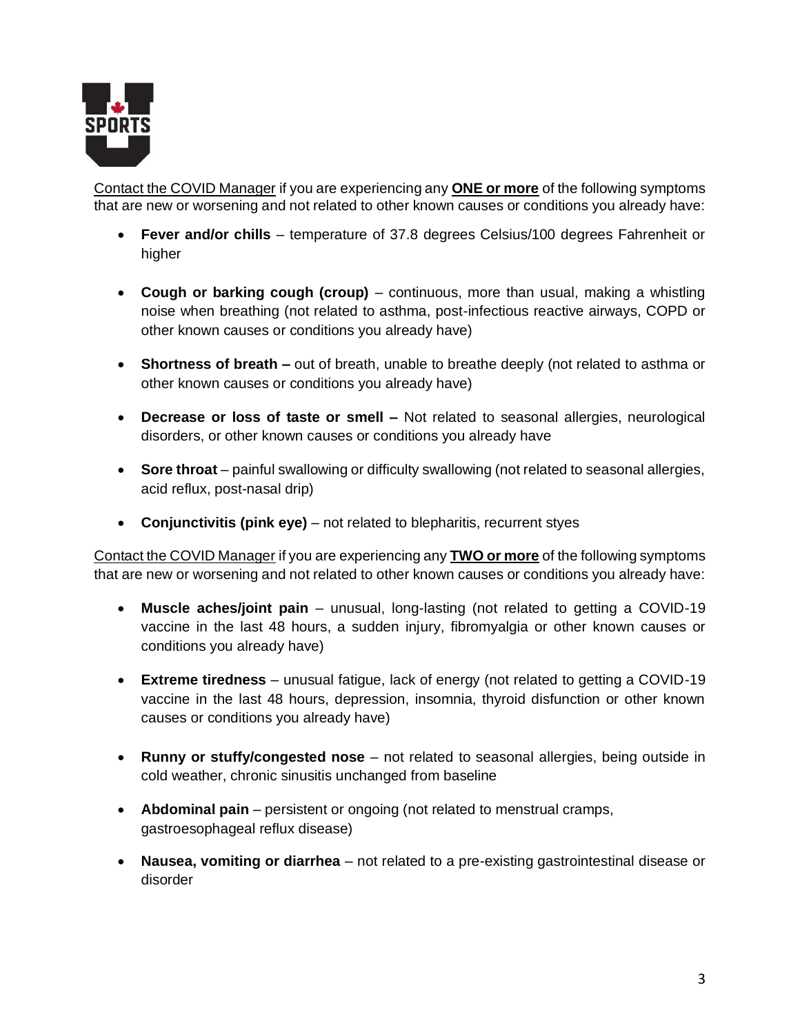

Contact the COVID Manager if you are experiencing any **ONE or more** of the following symptoms that are new or worsening and not related to other known causes or conditions you already have:

- **Fever and/or chills** temperature of 37.8 degrees Celsius/100 degrees Fahrenheit or higher
- **Cough or barking cough (croup)** continuous, more than usual, making a whistling noise when breathing (not related to asthma, post-infectious reactive airways, COPD or other known causes or conditions you already have)
- **Shortness of breath –** out of breath, unable to breathe deeply (not related to asthma or other known causes or conditions you already have)
- **Decrease or loss of taste or smell –** Not related to seasonal allergies, neurological disorders, or other known causes or conditions you already have
- **Sore throat** painful swallowing or difficulty swallowing (not related to seasonal allergies, acid reflux, post-nasal drip)
- **Conjunctivitis (pink eye)** not related to blepharitis, recurrent styes

Contact the COVID Manager if you are experiencing any **TWO or more** of the following symptoms that are new or worsening and not related to other known causes or conditions you already have:

- **Muscle aches/joint pain** unusual, long-lasting (not related to getting a COVID-19 vaccine in the last 48 hours, a sudden injury, fibromyalgia or other known causes or conditions you already have)
- **Extreme tiredness** unusual fatigue, lack of energy (not related to getting a COVID-19 vaccine in the last 48 hours, depression, insomnia, thyroid disfunction or other known causes or conditions you already have)
- **Runny or stuffy/congested nose** not related to seasonal allergies, being outside in cold weather, chronic sinusitis unchanged from baseline
- **Abdominal pain** persistent or ongoing (not related to menstrual cramps, gastroesophageal reflux disease)
- **Nausea, vomiting or diarrhea** not related to a pre-existing gastrointestinal disease or disorder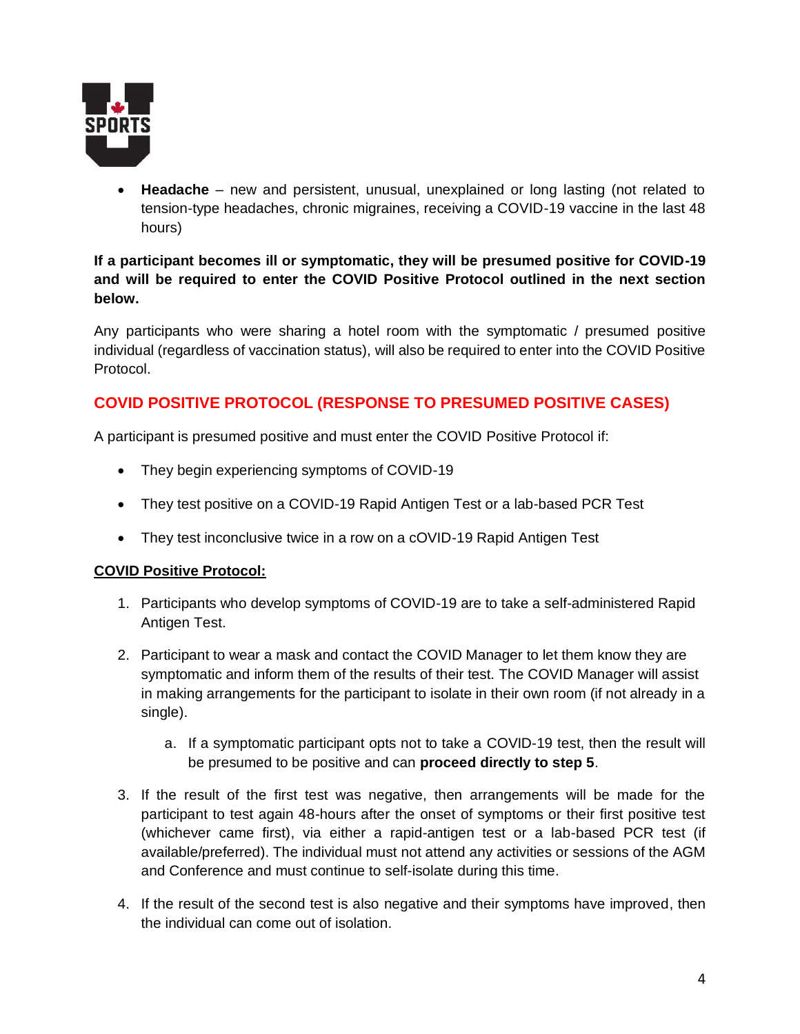

• **Headache** – new and persistent, unusual, unexplained or long lasting (not related to tension-type headaches, chronic migraines, receiving a COVID-19 vaccine in the last 48 hours)

#### **If a participant becomes ill or symptomatic, they will be presumed positive for COVID-19 and will be required to enter the COVID Positive Protocol outlined in the next section below.**

Any participants who were sharing a hotel room with the symptomatic / presumed positive individual (regardless of vaccination status), will also be required to enter into the COVID Positive Protocol.

## **COVID POSITIVE PROTOCOL (RESPONSE TO PRESUMED POSITIVE CASES)**

A participant is presumed positive and must enter the COVID Positive Protocol if:

- They begin experiencing symptoms of COVID-19
- They test positive on a COVID-19 Rapid Antigen Test or a lab-based PCR Test
- They test inconclusive twice in a row on a cOVID-19 Rapid Antigen Test

#### **COVID Positive Protocol:**

- 1. Participants who develop symptoms of COVID-19 are to take a self-administered Rapid Antigen Test.
- 2. Participant to wear a mask and contact the COVID Manager to let them know they are symptomatic and inform them of the results of their test. The COVID Manager will assist in making arrangements for the participant to isolate in their own room (if not already in a single).
	- a. If a symptomatic participant opts not to take a COVID-19 test, then the result will be presumed to be positive and can **proceed directly to step 5**.
- 3. If the result of the first test was negative, then arrangements will be made for the participant to test again 48-hours after the onset of symptoms or their first positive test (whichever came first), via either a rapid-antigen test or a lab-based PCR test (if available/preferred). The individual must not attend any activities or sessions of the AGM and Conference and must continue to self-isolate during this time.
- 4. If the result of the second test is also negative and their symptoms have improved, then the individual can come out of isolation.